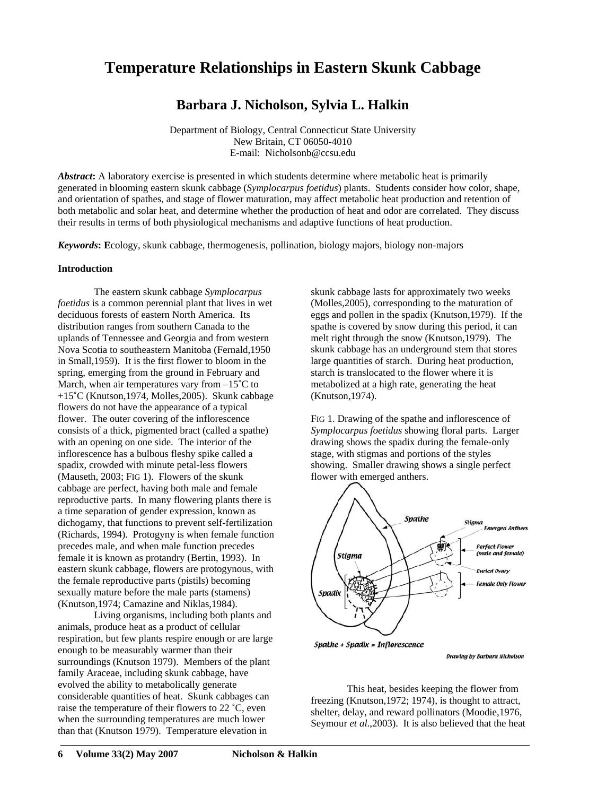# **Temperature Relationships in Eastern Skunk Cabbage**

# **Barbara J. Nicholson, Sylvia L. Halkin**

Department of Biology, Central Connecticut State University New Britain, CT 06050-4010 E-mail: Nicholsonb@ccsu.edu

*Abstract***:** A laboratory exercise is presented in which students determine where metabolic heat is primarily generated in blooming eastern skunk cabbage (*Symplocarpus foetidus*) plants. Students consider how color, shape, and orientation of spathes, and stage of flower maturation, may affect metabolic heat production and retention of both metabolic and solar heat, and determine whether the production of heat and odor are correlated. They discuss their results in terms of both physiological mechanisms and adaptive functions of heat production.

*Keywords***: E**cology, skunk cabbage, thermogenesis, pollination, biology majors, biology non-majors

### **Introduction**

The eastern skunk cabbage *Symplocarpus foetidus* is a common perennial plant that lives in wet deciduous forests of eastern North America. Its distribution ranges from southern Canada to the uplands of Tennessee and Georgia and from western Nova Scotia to southeastern Manitoba (Fernald,1950 in Small,1959). It is the first flower to bloom in the spring, emerging from the ground in February and March, when air temperatures vary from  $-15^{\circ}$ C to +15˚C (Knutson,1974, Molles,2005). Skunk cabbage flowers do not have the appearance of a typical flower. The outer covering of the inflorescence consists of a thick, pigmented bract (called a spathe) with an opening on one side. The interior of the inflorescence has a bulbous fleshy spike called a spadix, crowded with minute petal-less flowers (Mauseth, 2003; FIG 1). Flowers of the skunk cabbage are perfect, having both male and female reproductive parts. In many flowering plants there is a time separation of gender expression, known as dichogamy, that functions to prevent self-fertilization (Richards, 1994). Protogyny is when female function precedes male, and when male function precedes female it is known as protandry (Bertin, 1993). In eastern skunk cabbage, flowers are protogynous, with the female reproductive parts (pistils) becoming sexually mature before the male parts (stamens) (Knutson,1974; Camazine and Niklas,1984).

Living organisms, including both plants and animals, produce heat as a product of cellular respiration, but few plants respire enough or are large enough to be measurably warmer than their surroundings (Knutson 1979). Members of the plant family Araceae, including skunk cabbage, have evolved the ability to metabolically generate considerable quantities of heat. Skunk cabbages can raise the temperature of their flowers to 22 ˚C, even when the surrounding temperatures are much lower than that (Knutson 1979). Temperature elevation in

skunk cabbage lasts for approximately two weeks (Molles,2005), corresponding to the maturation of eggs and pollen in the spadix (Knutson,1979). If the spathe is covered by snow during this period, it can melt right through the snow (Knutson,1979). The skunk cabbage has an underground stem that stores large quantities of starch. During heat production, starch is translocated to the flower where it is metabolized at a high rate, generating the heat (Knutson,1974).

FIG 1. Drawing of the spathe and inflorescence of *Symplocarpus foetidus* showing floral parts. Larger drawing shows the spadix during the female-only stage, with stigmas and portions of the styles showing. Smaller drawing shows a single perfect flower with emerged anthers.



**Drawing by Barbara Nicholson** 

This heat, besides keeping the flower from freezing (Knutson,1972; 1974), is thought to attract, shelter, delay, and reward pollinators (Moodie,1976, Seymour *et al*.,2003). It is also believed that the heat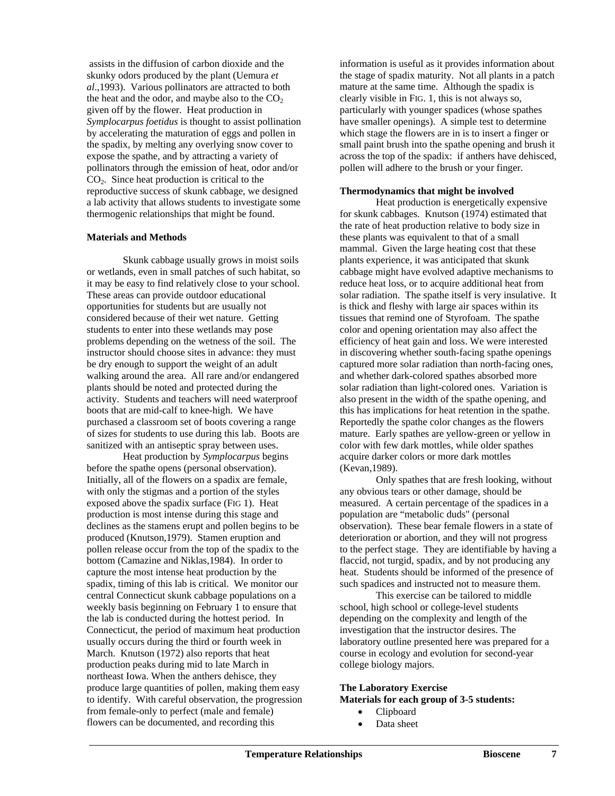assists in the diffusion of carbon dioxide and the skunky odors produced by the plant (Uemura *et al*.,1993). Various pollinators are attracted to both the heat and the odor, and maybe also to the  $CO<sub>2</sub>$ given off by the flower. Heat production in *Symplocarpus foetidus* is thought to assist pollination by accelerating the maturation of eggs and pollen in the spadix, by melting any overlying snow cover to expose the spathe, and by attracting a variety of pollinators through the emission of heat, odor and/or  $CO<sub>2</sub>$ . Since heat production is critical to the reproductive success of skunk cabbage, we designed a lab activity that allows students to investigate some thermogenic relationships that might be found.

### **Materials and Methods**

Skunk cabbage usually grows in moist soils or wetlands, even in small patches of such habitat, so it may be easy to find relatively close to your school. These areas can provide outdoor educational opportunities for students but are usually not considered because of their wet nature. Getting students to enter into these wetlands may pose problems depending on the wetness of the soil. The instructor should choose sites in advance: they must be dry enough to support the weight of an adult walking around the area. All rare and/or endangered plants should be noted and protected during the activity. Students and teachers will need waterproof boots that are mid-calf to knee-high. We have purchased a classroom set of boots covering a range of sizes for students to use during this lab. Boots are sanitized with an antiseptic spray between uses.

 Heat production by *Symplocarpus* begins before the spathe opens (personal observation). Initially, all of the flowers on a spadix are female, with only the stigmas and a portion of the styles exposed above the spadix surface (FIG 1). Heat production is most intense during this stage and declines as the stamens erupt and pollen begins to be produced (Knutson,1979). Stamen eruption and pollen release occur from the top of the spadix to the bottom (Camazine and Niklas,1984). In order to capture the most intense heat production by the spadix, timing of this lab is critical. We monitor our central Connecticut skunk cabbage populations on a weekly basis beginning on February 1 to ensure that the lab is conducted during the hottest period. In Connecticut, the period of maximum heat production usually occurs during the third or fourth week in March. Knutson (1972) also reports that heat production peaks during mid to late March in northeast Iowa. When the anthers dehisce, they produce large quantities of pollen, making them easy to identify. With careful observation, the progression from female-only to perfect (male and female) flowers can be documented, and recording this

information is useful as it provides information about the stage of spadix maturity. Not all plants in a patch mature at the same time. Although the spadix is clearly visible in FIG. 1, this is not always so, particularly with younger spadices (whose spathes have smaller openings). A simple test to determine which stage the flowers are in is to insert a finger or small paint brush into the spathe opening and brush it across the top of the spadix: if anthers have dehisced, pollen will adhere to the brush or your finger.

### **Thermodynamics that might be involved**

Heat production is energetically expensive for skunk cabbages. Knutson (1974) estimated that the rate of heat production relative to body size in these plants was equivalent to that of a small mammal. Given the large heating cost that these plants experience, it was anticipated that skunk cabbage might have evolved adaptive mechanisms to reduce heat loss, or to acquire additional heat from solar radiation. The spathe itself is very insulative. It is thick and fleshy with large air spaces within its tissues that remind one of Styrofoam. The spathe color and opening orientation may also affect the efficiency of heat gain and loss. We were interested in discovering whether south-facing spathe openings captured more solar radiation than north-facing ones, and whether dark-colored spathes absorbed more solar radiation than light-colored ones. Variation is also present in the width of the spathe opening, and this has implications for heat retention in the spathe. Reportedly the spathe color changes as the flowers mature. Early spathes are yellow-green or yellow in color with few dark mottles, while older spathes acquire darker colors or more dark mottles (Kevan,1989).

Only spathes that are fresh looking, without any obvious tears or other damage, should be measured. A certain percentage of the spadices in a population are "metabolic duds" (personal observation). These bear female flowers in a state of deterioration or abortion, and they will not progress to the perfect stage. They are identifiable by having a flaccid, not turgid, spadix, and by not producing any heat. Students should be informed of the presence of such spadices and instructed not to measure them.

This exercise can be tailored to middle school, high school or college-level students depending on the complexity and length of the investigation that the instructor desires. The laboratory outline presented here was prepared for a course in ecology and evolution for second-year college biology majors.

# **The Laboratory Exercise Materials for each group of 3-5 students:**

- Clipboard
- Data sheet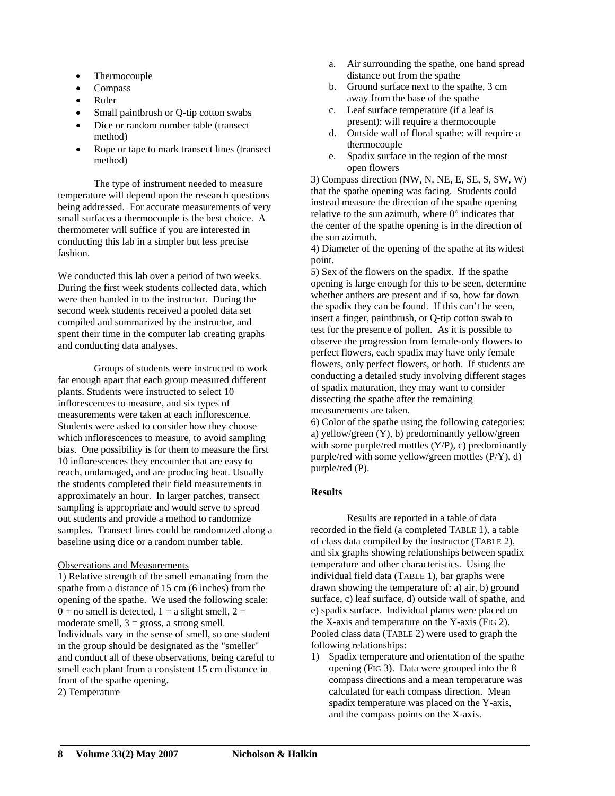- Thermocouple
- Compass
- Ruler
- Small paintbrush or Q-tip cotton swabs
- Dice or random number table (transect method)
- Rope or tape to mark transect lines (transect method)

The type of instrument needed to measure temperature will depend upon the research questions being addressed. For accurate measurements of very small surfaces a thermocouple is the best choice. A thermometer will suffice if you are interested in conducting this lab in a simpler but less precise fashion.

We conducted this lab over a period of two weeks. During the first week students collected data, which were then handed in to the instructor. During the second week students received a pooled data set compiled and summarized by the instructor, and spent their time in the computer lab creating graphs and conducting data analyses.

Groups of students were instructed to work far enough apart that each group measured different plants. Students were instructed to select 10 inflorescences to measure*,* and six types of measurements were taken at each inflorescence. Students were asked to consider how they choose which inflorescences to measure, to avoid sampling bias. One possibility is for them to measure the first 10 inflorescences they encounter that are easy to reach, undamaged, and are producing heat. Usually the students completed their field measurements in approximately an hour. In larger patches, transect sampling is appropriate and would serve to spread out students and provide a method to randomize samples. Transect lines could be randomized along a baseline using dice or a random number table.

# Observations and Measurements

1) Relative strength of the smell emanating from the spathe from a distance of 15 cm (6 inches) from the opening of the spathe. We used the following scale:  $0 =$  no smell is detected,  $1 =$  a slight smell,  $2 =$ moderate smell,  $3 =$  gross, a strong smell. Individuals vary in the sense of smell, so one student in the group should be designated as the "smeller" and conduct all of these observations, being careful to smell each plant from a consistent 15 cm distance in front of the spathe opening. 2) Temperature

- a. Air surrounding the spathe, one hand spread distance out from the spathe
- b. Ground surface next to the spathe, 3 cm away from the base of the spathe
- c. Leaf surface temperature (if a leaf is present): will require a thermocouple
- d. Outside wall of floral spathe: will require a thermocouple
- e. Spadix surface in the region of the most open flowers

3) Compass direction (NW, N, NE, E, SE, S, SW, W) that the spathe opening was facing. Students could instead measure the direction of the spathe opening relative to the sun azimuth, where  $0^{\circ}$  indicates that the center of the spathe opening is in the direction of the sun azimuth.

4) Diameter of the opening of the spathe at its widest point.

5) Sex of the flowers on the spadix. If the spathe opening is large enough for this to be seen, determine whether anthers are present and if so, how far down the spadix they can be found. If this can't be seen, insert a finger, paintbrush, or Q-tip cotton swab to test for the presence of pollen. As it is possible to observe the progression from female-only flowers to perfect flowers, each spadix may have only female flowers, only perfect flowers, or both. If students are conducting a detailed study involving different stages of spadix maturation, they may want to consider dissecting the spathe after the remaining measurements are taken.

6) Color of the spathe using the following categories: a) yellow/green (Y), b) predominantly yellow/green with some purple/red mottles  $(Y/P)$ , c) predominantly purple/red with some yellow/green mottles (P/Y), d) purple/red (P).

# **Results**

Results are reported in a table of data recorded in the field (a completed TABLE 1), a table of class data compiled by the instructor (TABLE 2), and six graphs showing relationships between spadix temperature and other characteristics. Using the individual field data (TABLE 1), bar graphs were drawn showing the temperature of: a) air, b) ground surface, c) leaf surface, d) outside wall of spathe, and e) spadix surface. Individual plants were placed on the X-axis and temperature on the Y-axis (FIG 2). Pooled class data (TABLE 2) were used to graph the following relationships:

1) Spadix temperature and orientation of the spathe opening (FIG 3). Data were grouped into the 8 compass directions and a mean temperature was calculated for each compass direction. Mean spadix temperature was placed on the Y-axis, and the compass points on the X-axis.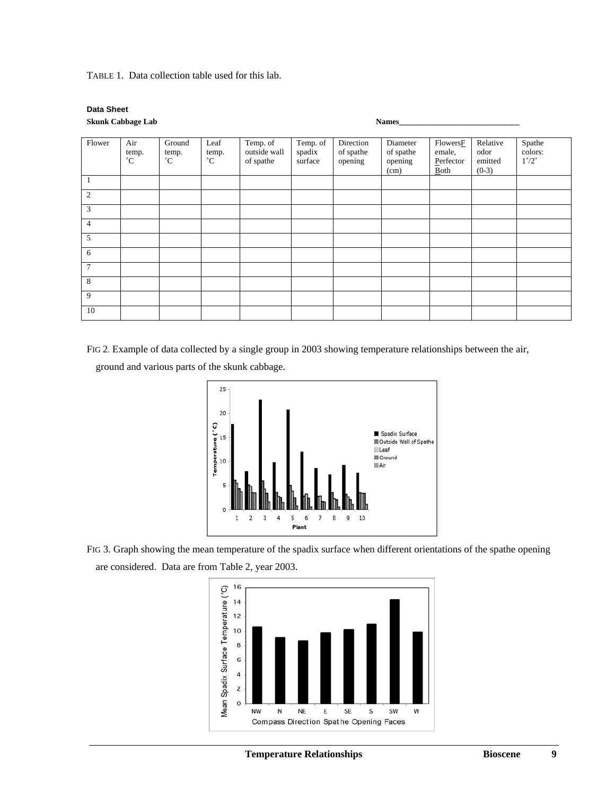TABLE 1. Data collection table used for this lab.

#### **Data Sheet Skunk Cabbage Lab Names\_\_\_\_\_\_\_\_\_\_\_\_\_\_\_\_\_\_\_\_\_\_\_\_\_\_\_\_\_\_**

| <b>SKUHK CADDAGE LAD</b> |                             |                                |                              |                                       |                               |                                   | <b>Names</b>                             |                                         |                                        |                                            |
|--------------------------|-----------------------------|--------------------------------|------------------------------|---------------------------------------|-------------------------------|-----------------------------------|------------------------------------------|-----------------------------------------|----------------------------------------|--------------------------------------------|
|                          |                             |                                |                              |                                       |                               |                                   |                                          |                                         |                                        |                                            |
| Flower                   | Air<br>temp.<br>$^{\circ}C$ | Ground<br>temp.<br>$^{\circ}C$ | Leaf<br>temp.<br>$^{\circ}C$ | Temp. of<br>outside wall<br>of spathe | Temp. of<br>spadix<br>surface | Direction<br>of spathe<br>opening | Diameter<br>of spathe<br>opening<br>(cm) | FlowersF<br>emale,<br>Perfector<br>Both | Relative<br>odor<br>emitted<br>$(0-3)$ | Spathe<br>colors:<br>$1^{\circ}/2^{\circ}$ |
|                          |                             |                                |                              |                                       |                               |                                   |                                          |                                         |                                        |                                            |
| $\overline{2}$           |                             |                                |                              |                                       |                               |                                   |                                          |                                         |                                        |                                            |
| 3                        |                             |                                |                              |                                       |                               |                                   |                                          |                                         |                                        |                                            |
| $\overline{4}$           |                             |                                |                              |                                       |                               |                                   |                                          |                                         |                                        |                                            |
| 5                        |                             |                                |                              |                                       |                               |                                   |                                          |                                         |                                        |                                            |
| 6                        |                             |                                |                              |                                       |                               |                                   |                                          |                                         |                                        |                                            |
| $\overline{7}$           |                             |                                |                              |                                       |                               |                                   |                                          |                                         |                                        |                                            |
| 8                        |                             |                                |                              |                                       |                               |                                   |                                          |                                         |                                        |                                            |
| 9                        |                             |                                |                              |                                       |                               |                                   |                                          |                                         |                                        |                                            |
| 10                       |                             |                                |                              |                                       |                               |                                   |                                          |                                         |                                        |                                            |

FIG 2. Example of data collected by a single group in 2003 showing temperature relationships between the air,

ground and various parts of the skunk cabbage.



FIG 3. Graph showing the mean temperature of the spadix surface when different orientations of the spathe opening are considered. Data are from Table 2, year 2003.

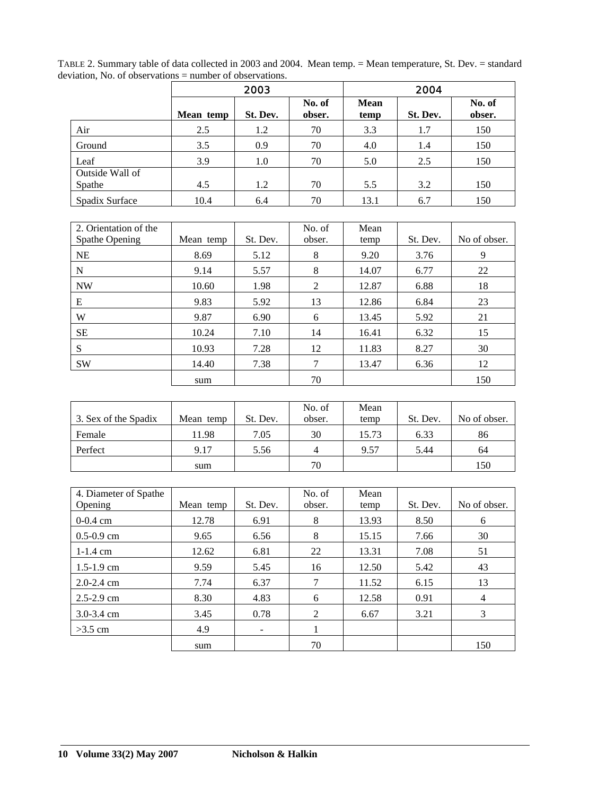|                           |           | 2003     |                  |                     | 2004     |                  |  |  |
|---------------------------|-----------|----------|------------------|---------------------|----------|------------------|--|--|
|                           | Mean temp | St. Dev. | No. of<br>obser. | <b>Mean</b><br>temp | St. Dev. | No. of<br>obser. |  |  |
| Air                       | 2.5       | 1.2      | 70               | 3.3                 | 1.7      | 150              |  |  |
| Ground                    | 3.5       | 0.9      | 70               | 4.0                 | 1.4      | 150              |  |  |
| Leaf                      | 3.9       | 1.0      | 70               | 5.0                 | 2.5      | 150              |  |  |
| Outside Wall of<br>Spathe | 4.5       | 1.2      | 70               | 5.5                 | 3.2      | 150              |  |  |
| Spadix Surface            | 10.4      | 6.4      | 70               | 13.1                | 6.7      | 150              |  |  |

TABLE 2. Summary table of data collected in 2003 and 2004. Mean temp. = Mean temperature, St. Dev. = standard deviation, No. of observations = number of observations.

| 2. Orientation of the |           |          | No. of         | Mean  |          |              |
|-----------------------|-----------|----------|----------------|-------|----------|--------------|
| Spathe Opening        | Mean temp | St. Dev. | obser.         | temp  | St. Dev. | No of obser. |
| <b>NE</b>             | 8.69      | 5.12     | 8              | 9.20  | 3.76     | 9            |
| N                     | 9.14      | 5.57     | 8              | 14.07 | 6.77     | 22           |
| <b>NW</b>             | 10.60     | 1.98     | $\overline{2}$ | 12.87 | 6.88     | 18           |
| E                     | 9.83      | 5.92     | 13             | 12.86 | 6.84     | 23           |
| W                     | 9.87      | 6.90     | 6              | 13.45 | 5.92     | 21           |
| <b>SE</b>             | 10.24     | 7.10     | 14             | 16.41 | 6.32     | 15           |
| S                     | 10.93     | 7.28     | 12             | 11.83 | 8.27     | 30           |
| <b>SW</b>             | 14.40     | 7.38     | 7              | 13.47 | 6.36     | 12           |
|                       | sum       |          | 70             |       |          | 150          |

| 3. Sex of the Spadix | Mean temp | St. Dev. | No. of<br>obser. | Mean<br>temp | St. Dev. | No of obser. |
|----------------------|-----------|----------|------------------|--------------|----------|--------------|
| Female               | 11.98     | 7.05     | 30               | 15.73        | 6.33     | 86           |
| Perfect              | 9.17      | 5.56     |                  | 9.57         | 5.44     | 64           |
|                      | sum       |          | 70               |              |          | 150          |

| 4. Diameter of Spathe |           |                          | No. of | Mean  |          |              |
|-----------------------|-----------|--------------------------|--------|-------|----------|--------------|
| Opening               | Mean temp | St. Dev.                 | obser. | temp  | St. Dev. | No of obser. |
| $0-0.4$ cm            | 12.78     | 6.91                     | 8      | 13.93 | 8.50     | 6            |
| $0.5 - 0.9$ cm        | 9.65      | 6.56                     | 8      | 15.15 | 7.66     | 30           |
| $1 - 1.4$ cm          | 12.62     | 6.81                     | 22     | 13.31 | 7.08     | 51           |
| $1.5 - 1.9$ cm        | 9.59      | 5.45                     | 16     | 12.50 | 5.42     | 43           |
| $2.0 - 2.4$ cm        | 7.74      | 6.37                     | 7      | 11.52 | 6.15     | 13           |
| $2.5 - 2.9$ cm        | 8.30      | 4.83                     | 6      | 12.58 | 0.91     | 4            |
| $3.0 - 3.4$ cm        | 3.45      | 0.78                     | 2      | 6.67  | 3.21     | 3            |
| $>3.5$ cm             | 4.9       | $\overline{\phantom{a}}$ |        |       |          |              |
|                       | sum       |                          | 70     |       |          | 150          |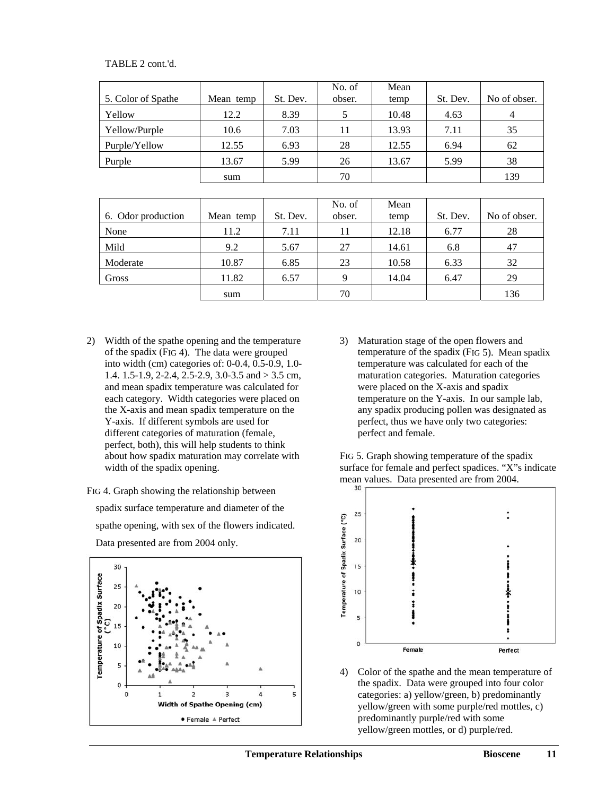# TABLE 2 cont.'d.

| 5. Color of Spathe | Mean temp | St. Dev. | No. of<br>obser. | Mean<br>temp | St. Dev. | No of obser. |
|--------------------|-----------|----------|------------------|--------------|----------|--------------|
| Yellow             | 12.2      | 8.39     |                  | 10.48        | 4.63     |              |
| Yellow/Purple      | 10.6      | 7.03     | 11               | 13.93        | 7.11     | 35           |
| Purple/Yellow      | 12.55     | 6.93     | 28               | 12.55        | 6.94     | 62           |
| Purple             | 13.67     | 5.99     | 26               | 13.67        | 5.99     | 38           |
|                    | sum       |          | 70               |              |          | 139          |

|                    |           |          | No. of | Mean  |          |              |
|--------------------|-----------|----------|--------|-------|----------|--------------|
| 6. Odor production | Mean temp | St. Dev. | obser. | temp  | St. Dev. | No of obser. |
| None               | 11.2      | 7.11     | 11     | 12.18 | 6.77     | 28           |
| Mild               | 9.2       | 5.67     | 27     | 14.61 | 6.8      | 47           |
| Moderate           | 10.87     | 6.85     | 23     | 10.58 | 6.33     | 32           |
| Gross              | 11.82     | 6.57     | Q      | 14.04 | 6.47     | 29           |
|                    | sum       |          | 70     |       |          | 136          |

- 2) Width of the spathe opening and the temperature of the spadix (FIG 4). The data were grouped into width (cm) categories of: 0-0.4, 0.5-0.9, 1.0- 1.4. 1.5-1.9, 2-2.4, 2.5-2.9, 3.0-3.5 and > 3.5 cm, and mean spadix temperature was calculated for each category. Width categories were placed on the X-axis and mean spadix temperature on the Y-axis. If different symbols are used for different categories of maturation (female, perfect, both), this will help students to think about how spadix maturation may correlate with width of the spadix opening.
- FIG 4. Graph showing the relationship between spadix surface temperature and diameter of the spathe opening, with sex of the flowers indicated. Data presented are from 2004 only.



3) Maturation stage of the open flowers and temperature of the spadix (FIG 5). Mean spadix temperature was calculated for each of the maturation categories. Maturation categories were placed on the X-axis and spadix temperature on the Y-axis. In our sample lab, any spadix producing pollen was designated as perfect, thus we have only two categories: perfect and female.

FIG 5. Graph showing temperature of the spadix surface for female and perfect spadices. "X"s indicate mean values. Data presented are from 2004.



4) Color of the spathe and the mean temperature of the spadix. Data were grouped into four color categories: a) yellow/green, b) predominantly yellow/green with some purple/red mottles, c) predominantly purple/red with some yellow/green mottles, or d) purple/red.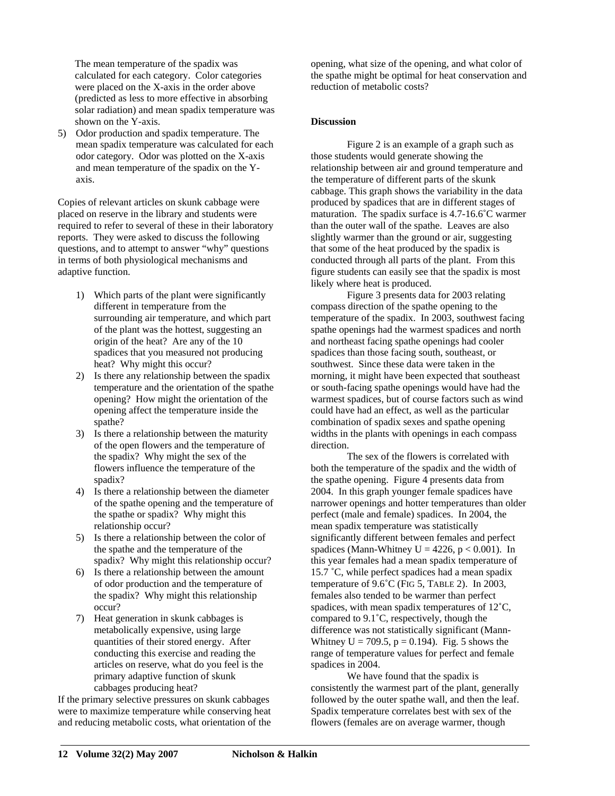The mean temperature of the spadix was calculated for each category. Color categories were placed on the X-axis in the order above (predicted as less to more effective in absorbing solar radiation) and mean spadix temperature was shown on the Y-axis.

5) Odor production and spadix temperature. The mean spadix temperature was calculated for each odor category. Odor was plotted on the X-axis and mean temperature of the spadix on the Yaxis.

Copies of relevant articles on skunk cabbage were placed on reserve in the library and students were required to refer to several of these in their laboratory reports. They were asked to discuss the following questions, and to attempt to answer "why" questions in terms of both physiological mechanisms and adaptive function.

- 1) Which parts of the plant were significantly different in temperature from the surrounding air temperature, and which part of the plant was the hottest, suggesting an origin of the heat? Are any of the 10 spadices that you measured not producing heat? Why might this occur?
- 2) Is there any relationship between the spadix temperature and the orientation of the spathe opening? How might the orientation of the opening affect the temperature inside the spathe?
- 3) Is there a relationship between the maturity of the open flowers and the temperature of the spadix? Why might the sex of the flowers influence the temperature of the spadix?
- 4) Is there a relationship between the diameter of the spathe opening and the temperature of the spathe or spadix? Why might this relationship occur?
- 5) Is there a relationship between the color of the spathe and the temperature of the spadix? Why might this relationship occur?
- 6) Is there a relationship between the amount of odor production and the temperature of the spadix? Why might this relationship occur?
- 7) Heat generation in skunk cabbages is metabolically expensive, using large quantities of their stored energy. After conducting this exercise and reading the articles on reserve, what do you feel is the primary adaptive function of skunk cabbages producing heat?

If the primary selective pressures on skunk cabbages were to maximize temperature while conserving heat and reducing metabolic costs, what orientation of the

opening, what size of the opening, and what color of the spathe might be optimal for heat conservation and reduction of metabolic costs?

# **Discussion**

Figure 2 is an example of a graph such as those students would generate showing the relationship between air and ground temperature and the temperature of different parts of the skunk cabbage. This graph shows the variability in the data produced by spadices that are in different stages of maturation. The spadix surface is 4.7-16.6˚C warmer than the outer wall of the spathe. Leaves are also slightly warmer than the ground or air, suggesting that some of the heat produced by the spadix is conducted through all parts of the plant. From this figure students can easily see that the spadix is most likely where heat is produced.

Figure 3 presents data for 2003 relating compass direction of the spathe opening to the temperature of the spadix. In 2003, southwest facing spathe openings had the warmest spadices and north and northeast facing spathe openings had cooler spadices than those facing south, southeast, or southwest. Since these data were taken in the morning, it might have been expected that southeast or south-facing spathe openings would have had the warmest spadices, but of course factors such as wind could have had an effect, as well as the particular combination of spadix sexes and spathe opening widths in the plants with openings in each compass direction.

The sex of the flowers is correlated with both the temperature of the spadix and the width of the spathe opening. Figure 4 presents data from 2004. In this graph younger female spadices have narrower openings and hotter temperatures than older perfect (male and female) spadices. In 2004, the mean spadix temperature was statistically significantly different between females and perfect spadices (Mann-Whitney  $U = 4226$ ,  $p < 0.001$ ). In this year females had a mean spadix temperature of 15.7 ˚C, while perfect spadices had a mean spadix temperature of 9.6˚C (FIG 5, TABLE 2). In 2003, females also tended to be warmer than perfect spadices, with mean spadix temperatures of 12˚C, compared to 9.1˚C, respectively, though the difference was not statistically significant (Mann-Whitney  $U = 709.5$ ,  $p = 0.194$ ). Fig. 5 shows the range of temperature values for perfect and female spadices in 2004.

We have found that the spadix is consistently the warmest part of the plant, generally followed by the outer spathe wall, and then the leaf. Spadix temperature correlates best with sex of the flowers (females are on average warmer, though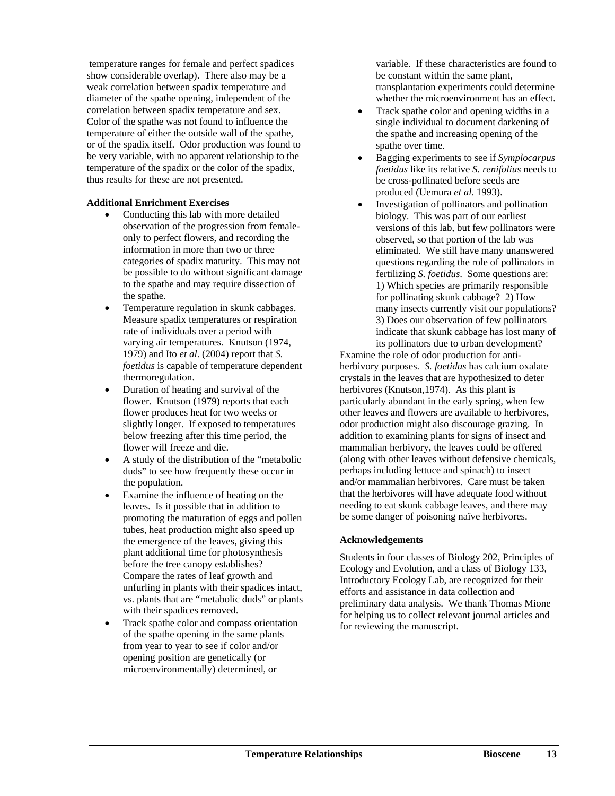temperature ranges for female and perfect spadices show considerable overlap). There also may be a weak correlation between spadix temperature and diameter of the spathe opening, independent of the correlation between spadix temperature and sex. Color of the spathe was not found to influence the temperature of either the outside wall of the spathe, or of the spadix itself. Odor production was found to be very variable, with no apparent relationship to the temperature of the spadix or the color of the spadix, thus results for these are not presented.

# **Additional Enrichment Exercises**

- Conducting this lab with more detailed observation of the progression from femaleonly to perfect flowers, and recording the information in more than two or three categories of spadix maturity. This may not be possible to do without significant damage to the spathe and may require dissection of the spathe.
- Temperature regulation in skunk cabbages. Measure spadix temperatures or respiration rate of individuals over a period with varying air temperatures. Knutson (1974, 1979) and Ito *et al*. (2004) report that *S. foetidus* is capable of temperature dependent thermoregulation.
- Duration of heating and survival of the flower. Knutson (1979) reports that each flower produces heat for two weeks or slightly longer. If exposed to temperatures below freezing after this time period, the flower will freeze and die.
- A study of the distribution of the "metabolic duds" to see how frequently these occur in the population.
- Examine the influence of heating on the leaves. Is it possible that in addition to promoting the maturation of eggs and pollen tubes, heat production might also speed up the emergence of the leaves, giving this plant additional time for photosynthesis before the tree canopy establishes? Compare the rates of leaf growth and unfurling in plants with their spadices intact, vs. plants that are "metabolic duds" or plants with their spadices removed.
- Track spathe color and compass orientation of the spathe opening in the same plants from year to year to see if color and/or opening position are genetically (or microenvironmentally) determined, or

variable. If these characteristics are found to be constant within the same plant, transplantation experiments could determine whether the microenvironment has an effect.

- Track spathe color and opening widths in a single individual to document darkening of the spathe and increasing opening of the spathe over time.
- Bagging experiments to see if *Symplocarpus foetidus* like its relative *S. renifolius* needs to be cross-pollinated before seeds are produced (Uemura *et al*. 1993).
- Investigation of pollinators and pollination biology. This was part of our earliest versions of this lab, but few pollinators were observed, so that portion of the lab was eliminated. We still have many unanswered questions regarding the role of pollinators in fertilizing *S. foetidus*. Some questions are: 1) Which species are primarily responsible for pollinating skunk cabbage? 2) How many insects currently visit our populations? 3) Does our observation of few pollinators indicate that skunk cabbage has lost many of its pollinators due to urban development?

Examine the role of odor production for antiherbivory purposes. *S. foetidus* has calcium oxalate crystals in the leaves that are hypothesized to deter herbivores (Knutson,1974). As this plant is particularly abundant in the early spring, when few other leaves and flowers are available to herbivores, odor production might also discourage grazing. In addition to examining plants for signs of insect and mammalian herbivory, the leaves could be offered (along with other leaves without defensive chemicals, perhaps including lettuce and spinach) to insect and/or mammalian herbivores. Care must be taken that the herbivores will have adequate food without needing to eat skunk cabbage leaves, and there may be some danger of poisoning naïve herbivores.

# **Acknowledgements**

Students in four classes of Biology 202, Principles of Ecology and Evolution, and a class of Biology 133, Introductory Ecology Lab, are recognized for their efforts and assistance in data collection and preliminary data analysis. We thank Thomas Mione for helping us to collect relevant journal articles and for reviewing the manuscript.